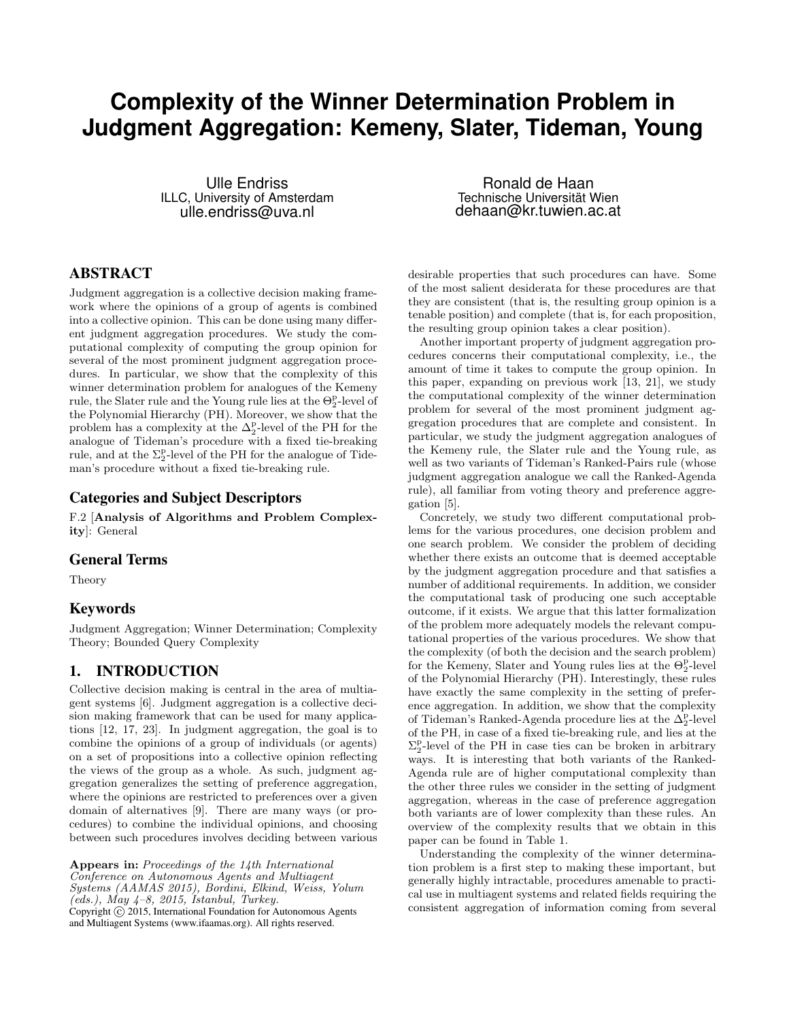# **Complexity of the Winner Determination Problem in Judgment Aggregation: Kemeny, Slater, Tideman, Young**

Ulle Endriss ILLC, University of Amsterdam ulle.endriss@uva.nl

ABSTRACT

Judgment aggregation is a collective decision making framework where the opinions of a group of agents is combined into a collective opinion. This can be done using many different judgment aggregation procedures. We study the computational complexity of computing the group opinion for several of the most prominent judgment aggregation procedures. In particular, we show that the complexity of this winner determination problem for analogues of the Kemeny rule, the Slater rule and the Young rule lies at the  $\Theta_2^{\text{p}}$ -level of the Polynomial Hierarchy (PH). Moreover, we show that the problem has a complexity at the  $\Delta_2^{\rm p}$ -level of the PH for the analogue of Tideman's procedure with a fixed tie-breaking rule, and at the  $\Sigma^p_2$ -level of the PH for the analogue of Tideman's procedure without a fixed tie-breaking rule.

# Categories and Subject Descriptors

F.2 [Analysis of Algorithms and Problem Complexity]: General

### General Terms

Theory

# Keywords

Judgment Aggregation; Winner Determination; Complexity Theory; Bounded Query Complexity

# 1. INTRODUCTION

Collective decision making is central in the area of multiagent systems [6]. Judgment aggregation is a collective decision making framework that can be used for many applications [12, 17, 23]. In judgment aggregation, the goal is to combine the opinions of a group of individuals (or agents) on a set of propositions into a collective opinion reflecting the views of the group as a whole. As such, judgment aggregation generalizes the setting of preference aggregation, where the opinions are restricted to preferences over a given domain of alternatives [9]. There are many ways (or procedures) to combine the individual opinions, and choosing between such procedures involves deciding between various

Appears in: Proceedings of the 14th International Conference on Autonomous Agents and Multiagent Systems (AAMAS 2015), Bordini, Elkind, Weiss, Yolum  $(eds.), May 4-8, 2015, Istanbul, Turkey.$ Copyright  $\overline{c}$  2015, International Foundation for Autonomous Agents and Multiagent Systems (www.ifaamas.org). All rights reserved.

Ronald de Haan Technische Universität Wien dehaan@kr.tuwien.ac.at

desirable properties that such procedures can have. Some of the most salient desiderata for these procedures are that they are consistent (that is, the resulting group opinion is a tenable position) and complete (that is, for each proposition, the resulting group opinion takes a clear position).

Another important property of judgment aggregation procedures concerns their computational complexity, i.e., the amount of time it takes to compute the group opinion. In this paper, expanding on previous work [13, 21], we study the computational complexity of the winner determination problem for several of the most prominent judgment aggregation procedures that are complete and consistent. In particular, we study the judgment aggregation analogues of the Kemeny rule, the Slater rule and the Young rule, as well as two variants of Tideman's Ranked-Pairs rule (whose judgment aggregation analogue we call the Ranked-Agenda rule), all familiar from voting theory and preference aggregation [5].

Concretely, we study two different computational problems for the various procedures, one decision problem and one search problem. We consider the problem of deciding whether there exists an outcome that is deemed acceptable by the judgment aggregation procedure and that satisfies a number of additional requirements. In addition, we consider the computational task of producing one such acceptable outcome, if it exists. We argue that this latter formalization of the problem more adequately models the relevant computational properties of the various procedures. We show that the complexity (of both the decision and the search problem) for the Kemeny, Slater and Young rules lies at the  $\Theta_2^{\text{p}}$ -level of the Polynomial Hierarchy (PH). Interestingly, these rules have exactly the same complexity in the setting of preference aggregation. In addition, we show that the complexity of Tideman's Ranked-Agenda procedure lies at the  $\Delta^\mathrm{p}_2$  level of the PH, in case of a fixed tie-breaking rule, and lies at the  $\Sigma^{\tt p}_2$ -level of the PH in case ties can be broken in arbitrary ways. It is interesting that both variants of the Ranked-Agenda rule are of higher computational complexity than the other three rules we consider in the setting of judgment aggregation, whereas in the case of preference aggregation both variants are of lower complexity than these rules. An overview of the complexity results that we obtain in this paper can be found in Table 1.

Understanding the complexity of the winner determination problem is a first step to making these important, but generally highly intractable, procedures amenable to practical use in multiagent systems and related fields requiring the consistent aggregation of information coming from several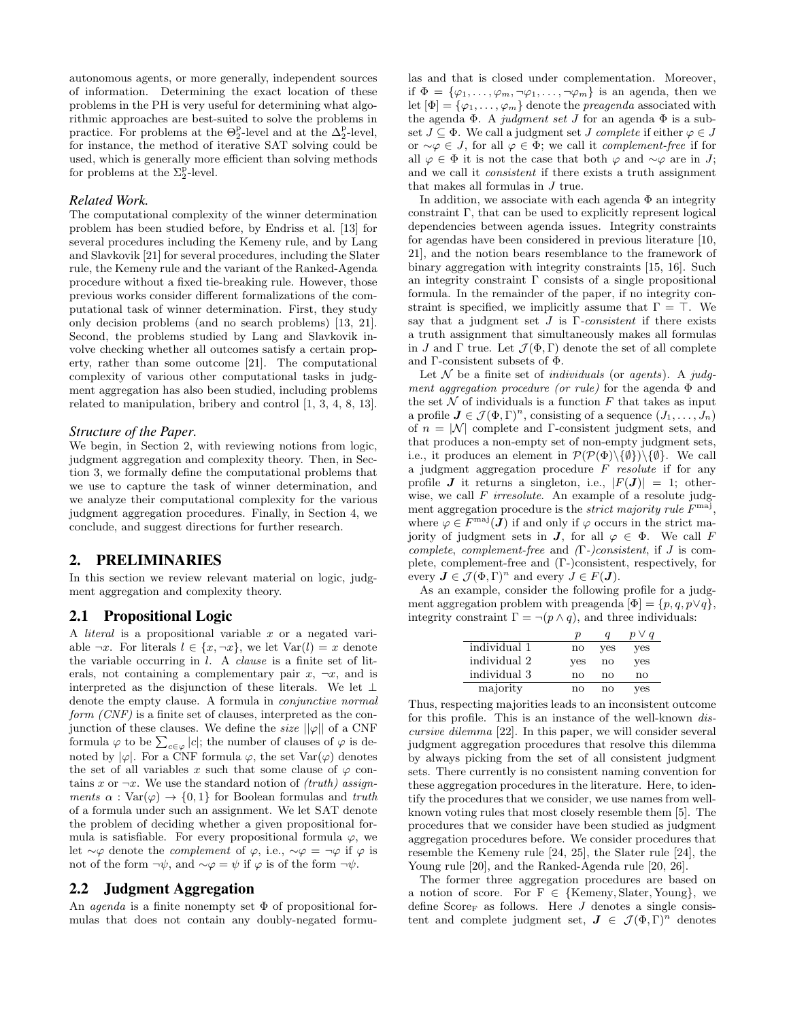autonomous agents, or more generally, independent sources of information. Determining the exact location of these problems in the PH is very useful for determining what algorithmic approaches are best-suited to solve the problems in practice. For problems at the  $\Theta_2^{\text{p}}$ -level and at the  $\Delta_2^{\text{p}}$ -level, for instance, the method of iterative SAT solving could be used, which is generally more efficient than solving methods for problems at the  $\Sigma_2^{\rm p}\text{-level.}$ 

## *Related Work.*

The computational complexity of the winner determination problem has been studied before, by Endriss et al. [13] for several procedures including the Kemeny rule, and by Lang and Slavkovik [21] for several procedures, including the Slater rule, the Kemeny rule and the variant of the Ranked-Agenda procedure without a fixed tie-breaking rule. However, those previous works consider different formalizations of the computational task of winner determination. First, they study only decision problems (and no search problems) [13, 21]. Second, the problems studied by Lang and Slavkovik involve checking whether all outcomes satisfy a certain property, rather than some outcome [21]. The computational complexity of various other computational tasks in judgment aggregation has also been studied, including problems related to manipulation, bribery and control [1, 3, 4, 8, 13].

### *Structure of the Paper.*

We begin, in Section 2, with reviewing notions from logic, judgment aggregation and complexity theory. Then, in Section 3, we formally define the computational problems that we use to capture the task of winner determination, and we analyze their computational complexity for the various judgment aggregation procedures. Finally, in Section 4, we conclude, and suggest directions for further research.

# 2. PRELIMINARIES

In this section we review relevant material on logic, judgment aggregation and complexity theory.

### 2.1 Propositional Logic

A literal is a propositional variable x or a negated variable  $\neg x$ . For literals  $l \in \{x, \neg x\}$ , we let  $\text{Var}(l) = x$  denote the variable occurring in  $l$ . A *clause* is a finite set of literals, not containing a complementary pair  $x, \neg x$ , and is interpreted as the disjunction of these literals. We let  $\bot$ denote the empty clause. A formula in conjunctive normal form (CNF) is a finite set of clauses, interpreted as the conjunction of these clauses. We define the *size*  $||\varphi||$  of a CNF formula  $\varphi$  to be  $\sum_{c \in \varphi} |c|$ ; the number of clauses of  $\varphi$  is denoted by  $|\varphi|$ . For a CNF formula  $\varphi$ , the set Var $(\varphi)$  denotes the set of all variables x such that some clause of  $\varphi$  contains x or  $\neg x$ . We use the standard notion of *(truth)* assignments  $\alpha$ : Var $(\varphi) \rightarrow \{0,1\}$  for Boolean formulas and truth of a formula under such an assignment. We let SAT denote the problem of deciding whether a given propositional formula is satisfiable. For every propositional formula  $\varphi$ , we let  $\sim \varphi$  denote the *complement* of  $\varphi$ , i.e.,  $\sim \varphi = \neg \varphi$  if  $\varphi$  is not of the form  $\neg \psi$ , and  $\sim \varphi = \psi$  if  $\varphi$  is of the form  $\neg \psi$ .

### 2.2 Judgment Aggregation

An *agenda* is a finite nonempty set  $\Phi$  of propositional formulas that does not contain any doubly-negated formulas and that is closed under complementation. Moreover, if  $\Phi = {\varphi_1, \ldots, \varphi_m, \neg \varphi_1, \ldots, \neg \varphi_m}$  is an agenda, then we let  $[\Phi] = {\varphi_1, \ldots, \varphi_m}$  denote the *preagenda* associated with the agenda  $\Phi$ . A judgment set J for an agenda  $\Phi$  is a subset  $J \subseteq \Phi$ . We call a judgment set J complete if either  $\varphi \in J$ or  $\sim$  $\varphi \in J$ , for all  $\varphi \in \Phi$ ; we call it *complement-free* if for all  $\varphi \in \Phi$  it is not the case that both  $\varphi$  and  $\sim \varphi$  are in J; and we call it consistent if there exists a truth assignment that makes all formulas in J true.

In addition, we associate with each agenda  $\Phi$  an integrity constraint Γ, that can be used to explicitly represent logical dependencies between agenda issues. Integrity constraints for agendas have been considered in previous literature [10, 21], and the notion bears resemblance to the framework of binary aggregation with integrity constraints [15, 16]. Such an integrity constraint  $\Gamma$  consists of a single propositional formula. In the remainder of the paper, if no integrity constraint is specified, we implicitly assume that  $\Gamma = \top$ . We say that a judgment set  $J$  is  $\Gamma$ -consistent if there exists a truth assignment that simultaneously makes all formulas in J and  $\Gamma$  true. Let  $\mathcal{J}(\Phi, \Gamma)$  denote the set of all complete and Γ-consistent subsets of Φ.

Let  $\mathcal N$  be a finite set of *individuals* (or *agents*). A *judg*ment aggregation procedure (or rule) for the agenda  $\Phi$  and the set  $\mathcal N$  of individuals is a function  $F$  that takes as input a profile  $J \in \mathcal{J}(\Phi,\Gamma)^n$ , consisting of a sequence  $(J_1,\ldots,J_n)$ of  $n = |\mathcal{N}|$  complete and Γ-consistent judgment sets, and that produces a non-empty set of non-empty judgment sets, i.e., it produces an element in  $\mathcal{P}(\mathcal{P}(\Phi)\backslash \{\emptyset\})\backslash \{\emptyset\}$ . We call a judgment aggregation procedure  $F$  resolute if for any profile **J** it returns a singleton, i.e.,  $|F(\mathbf{J})| = 1$ ; otherwise, we call  $F$  *irresolute*. An example of a resolute judgment aggregation procedure is the *strict majority rule*  $F^{\text{maj}}$ , where  $\varphi \in F^{\text{maj}}(J)$  if and only if  $\varphi$  occurs in the strict majority of judgment sets in **J**, for all  $\varphi \in \Phi$ . We call F complete, complement-free and  $(Γ-)consistent$ , if J is complete, complement-free and (Γ-)consistent, respectively, for every  $J \in \mathcal{J}(\Phi, \Gamma)^n$  and every  $J \in F(J)$ .

As an example, consider the following profile for a judgment aggregation problem with preagenda  $[\Phi] = \{p, q, p \lor q\},\$ integrity constraint  $\Gamma = \neg (p \land q)$ , and three individuals:

|              | D                      |                        | $\vee a$ |
|--------------|------------------------|------------------------|----------|
| individual 1 | $\mathbf{n}\mathbf{o}$ | yes                    | yes      |
| individual 2 | yes                    | $\mathbf{n}\mathbf{o}$ | yes      |
| individual 3 | nο                     | nο                     | nο       |
| majority     | no                     | nο                     | ves      |

Thus, respecting majorities leads to an inconsistent outcome for this profile. This is an instance of the well-known discursive dilemma [22]. In this paper, we will consider several judgment aggregation procedures that resolve this dilemma by always picking from the set of all consistent judgment sets. There currently is no consistent naming convention for these aggregation procedures in the literature. Here, to identify the procedures that we consider, we use names from wellknown voting rules that most closely resemble them [5]. The procedures that we consider have been studied as judgment aggregation procedures before. We consider procedures that resemble the Kemeny rule [24, 25], the Slater rule [24], the Young rule [20], and the Ranked-Agenda rule [20, 26].

The former three aggregation procedures are based on a notion of score. For  $F \in \{Kemeny, Slater, Young\}$ , we define  $Score_F$  as follows. Here  $J$  denotes a single consistent and complete judgment set,  $J \in \mathcal{J}(\Phi,\Gamma)^n$  denotes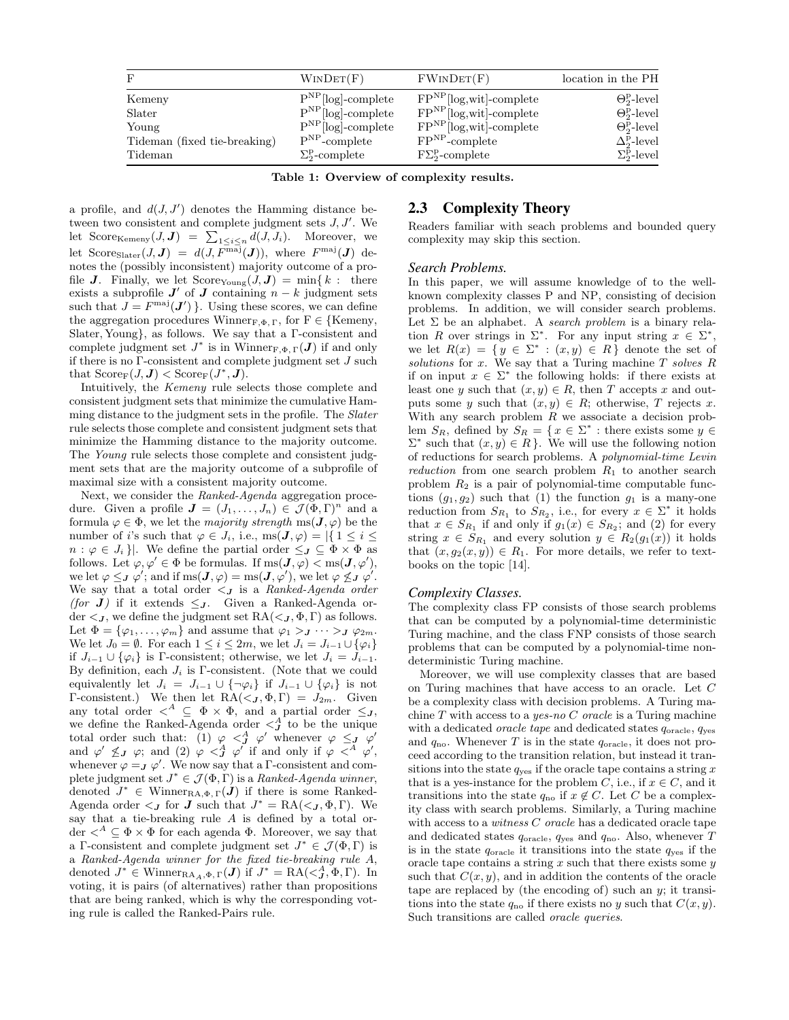| F                            | WINDET(F)                    | FWINDET(F)                    | location in the PH                |
|------------------------------|------------------------------|-------------------------------|-----------------------------------|
| Kemeny                       | $P^{NP}$ [log]-complete      | $FP^{NP}$ [log,wit]-complete  | $\Theta_2^{\rm p}$ -level         |
| Slater                       | $P^{NP}$ [log]-complete      | $FP^{NP}$ [log,wit]-complete  | $\Theta_2^{\rm p}$ -level         |
| Young                        | $P^{NP}$ [log]-complete      | $FP^{NP}$ [log,wit]-complete  | $\Theta_2^{\rm P-level}$          |
| Tideman (fixed tie-breaking) | $P^{NP}$ -complete           | $FPNP$ -complete              | $\Delta_{2}^{\rm p}\text{-level}$ |
| Tideman                      | $\Sigma^{\rm p}_2$ -complete | $F\Sigma^{\rm p}_2$ -complete | $\Sigma^{\rm p}_{\rm 2}$ -level   |

Table 1: Overview of complexity results.

a profile, and  $d(J, J')$  denotes the Hamming distance between two consistent and complete judgment sets  $J, J'$ . We let Score<sub>Kemeny</sub> $(J, J) = \sum_{1 \leq i \leq n} d(J, J_i)$ . Moreover, we let Score<sub>Slater</sub> $(J, J) = d(J, F^{\text{maj}}(J))$ , where  $F^{\text{maj}}(J)$  denotes the (possibly inconsistent) majority outcome of a profile **J**. Finally, we let  $\text{Score}_{\text{Young}}(J, J) = \min\{k : \text{there}$ exists a subprofile  $J'$  of  $J$  containing  $n - k$  judgment sets such that  $J = F^{\text{maj}}(\mathbf{J}')$ . Using these scores, we can define the aggregation procedures Winner<sub>F,Φ,Γ</sub>, for  $F \in \{Kemeny,$ Slater, Young}, as follows. We say that a Γ-consistent and complete judgment set  $J^*$  is in Winner<sub>F, $\Phi$ ,  $\Gamma$ </sub> $(J)$  if and only if there is no Γ-consistent and complete judgment set J such that  $\text{Score}_{\mathbf{F}}(J, \mathbf{J}) < \text{Score}_{\mathbf{F}}(J^*, \mathbf{J}).$ 

Intuitively, the Kemeny rule selects those complete and consistent judgment sets that minimize the cumulative Hamming distance to the judgment sets in the profile. The Slater rule selects those complete and consistent judgment sets that minimize the Hamming distance to the majority outcome. The Young rule selects those complete and consistent judgment sets that are the majority outcome of a subprofile of maximal size with a consistent majority outcome.

Next, we consider the Ranked-Agenda aggregation procedure. Given a profile  $\mathbf{J} = (J_1, \ldots, J_n) \in \mathcal{J}(\Phi, \Gamma)^n$  and a formula  $\varphi \in \Phi$ , we let the *majority strength* ms $(\mathbf{J}, \varphi)$  be the number of i's such that  $\varphi \in J_i$ , i.e.,  $\text{ms}(\mathbf{J}, \varphi) = |\{ 1 \leq i \leq$  $n : \varphi \in J_i$ . We define the partial order  $\leq_J \subseteq \Phi \times \Phi$  as follows. Let  $\varphi, \varphi' \in \Phi$  be formulas. If  $ms(\mathbf{J}, \varphi) < ms(\mathbf{J}, \varphi')$ , we let  $\varphi \leq_{J} \varphi'$ ; and if  $ms(J, \varphi) = ms(J, \varphi')$ , we let  $\varphi \not\leq_{J} \varphi'$ . We say that a total order  $\lt J$  is a Ranked-Agenda order (for  $J$ ) if it extends  $\leq_{J}$ . Given a Ranked-Agenda order  $\langle J, w \rangle$  define the judgment set  $RA(\langle J, \Phi, \Gamma \rangle)$  as follows. Let  $\Phi = {\varphi_1, \ldots, \varphi_m}$  and assume that  $\varphi_1 >_{\mathbf{J}} \cdots >_{\mathbf{J}} \varphi_{2m}$ . We let  $J_0 = \emptyset$ . For each  $1 \leq i \leq 2m$ , we let  $J_i = J_{i-1} \cup {\varphi_i}$ if  $J_{i-1} \cup {\varphi_i}$  is Γ-consistent; otherwise, we let  $J_i = J_{i-1}$ . By definition, each  $J_i$  is Γ-consistent. (Note that we could equivalently let  $J_i = J_{i-1} \cup {\neg \varphi_i}$  if  $J_{i-1} \cup {\varphi_i}$  is not Γ-consistent.) We then let  $RA(**J**, Φ, Γ) = J_{2m}$ . Given any total order  $\langle A \subseteq \Phi \times \Phi$ , and a partial order  $\leq_J$ , we define the Ranked-Agenda order  $\langle \mathcal{A}^A$  to be the unique total order such that: (1)  $\varphi \prec^A_J \varphi'$  whenever  $\varphi \leq J \varphi'$ and  $\varphi' \not\leq_J \varphi$ ; and (2)  $\varphi \leq^A_J \varphi'$  if and only if  $\varphi \leq^A_J \varphi'$ , whenever  $\varphi = \mathbf{J} \varphi'$ . We now say that a  $\Gamma$ -consistent and complete judgment set  $J^* \in \mathcal{J}(\Phi, \Gamma)$  is a Ranked-Agenda winner, denoted  $J^* \in \text{Winner}_{\text{RA},\Phi,\Gamma}(J)$  if there is some Ranked-Agenda order  $\langle J \rangle$  for  $J$  such that  $J^* = \text{RA}(\langle J, \Phi, \Gamma \rangle)$ . We say that a tie-breaking rule  $A$  is defined by a total order  $\langle A \subseteq \Phi \times \Phi$  for each agenda  $\Phi$ . Moreover, we say that a Γ-consistent and complete judgment set  $J^* \in \mathcal{J}(\Phi,\Gamma)$  is a Ranked-Agenda winner for the fixed tie-breaking rule A, denoted  $J^* \in \text{Winner}_{\text{RA}_A, \Phi, \Gamma}(\boldsymbol{J})$  if  $J^* = \text{RA}(\langle J^A, \Phi, \Gamma \rangle)$ . In voting, it is pairs (of alternatives) rather than propositions that are being ranked, which is why the corresponding voting rule is called the Ranked-Pairs rule.

### 2.3 Complexity Theory

Readers familiar with seach problems and bounded query complexity may skip this section.

### *Search Problems.*

In this paper, we will assume knowledge of to the wellknown complexity classes P and NP, consisting of decision problems. In addition, we will consider search problems. Let  $\Sigma$  be an alphabet. A search problem is a binary relation R over strings in  $\Sigma^*$ . For any input string  $x \in \Sigma^*$ , we let  $R(x) = \{y \in \Sigma^* : (x, y) \in R\}$  denote the set of solutions for  $x$ . We say that a Turing machine  $T$  solves  $R$ if on input  $x \in \Sigma^*$  the following holds: if there exists at least one y such that  $(x, y) \in R$ , then T accepts x and outputs some y such that  $(x, y) \in R$ ; otherwise, T rejects x. With any search problem  $R$  we associate a decision problem  $S_R$ , defined by  $S_R = \{x \in \Sigma^* : \text{there exists some } y \in$  $\Sigma^*$  such that  $(x, y) \in R$ . We will use the following notion of reductions for search problems. A polynomial-time Levin reduction from one search problem  $R_1$  to another search problem  $R_2$  is a pair of polynomial-time computable functions  $(g_1, g_2)$  such that (1) the function  $g_1$  is a many-one reduction from  $S_{R_1}$  to  $S_{R_2}$ , i.e., for every  $x \in \Sigma^*$  it holds that  $x \in S_{R_1}$  if and only if  $g_1(x) \in S_{R_2}$ ; and (2) for every string  $x \in S_{R_1}$  and every solution  $y \in R_2(g_1(x))$  it holds that  $(x, g_2(x, y)) \in R_1$ . For more details, we refer to textbooks on the topic [14].

#### *Complexity Classes.*

The complexity class FP consists of those search problems that can be computed by a polynomial-time deterministic Turing machine, and the class FNP consists of those search problems that can be computed by a polynomial-time nondeterministic Turing machine.

Moreover, we will use complexity classes that are based on Turing machines that have access to an oracle. Let C be a complexity class with decision problems. A Turing machine  $T$  with access to a yes-no  $C$  oracle is a Turing machine with a dedicated *oracle tape* and dedicated states  $q_{\text{oracle}}$ ,  $q_{\text{yes}}$ and  $q_{\text{no}}$ . Whenever T is in the state  $q_{\text{oracle}}$ , it does not proceed according to the transition relation, but instead it transitions into the state  $q_{\text{ves}}$  if the oracle tape contains a string x that is a yes-instance for the problem C, i.e., if  $x \in C$ , and it transitions into the state  $q_{\text{no}}$  if  $x \notin C$ . Let C be a complexity class with search problems. Similarly, a Turing machine with access to a witness  $C$  oracle has a dedicated oracle tape and dedicated states  $q_{\text{oracle}}$ ,  $q_{\text{yes}}$  and  $q_{\text{no}}$ . Also, whenever T is in the state  $q_{\text{oracle}}$  it transitions into the state  $q_{\text{yes}}$  if the oracle tape contains a string  $x$  such that there exists some  $y$ such that  $C(x, y)$ , and in addition the contents of the oracle tape are replaced by (the encoding of) such an  $y$ ; it transitions into the state  $q_{\text{no}}$  if there exists no y such that  $C(x, y)$ . Such transitions are called *oracle queries*.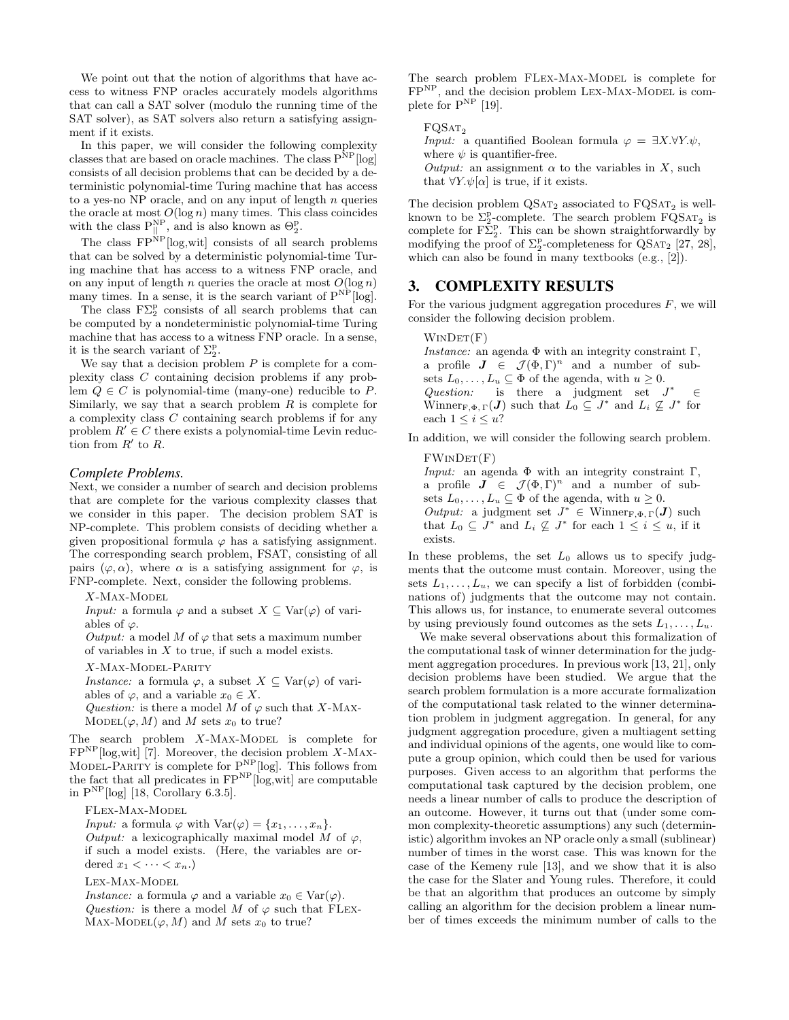We point out that the notion of algorithms that have access to witness FNP oracles accurately models algorithms that can call a SAT solver (modulo the running time of the SAT solver), as SAT solvers also return a satisfying assignment if it exists.

In this paper, we will consider the following complexity classes that are based on oracle machines. The class  $P^{NP}$ [log] consists of all decision problems that can be decided by a deterministic polynomial-time Turing machine that has access to a yes-no NP oracle, and on any input of length  $n$  queries the oracle at most  $O(\log n)$  many times. This class coincides with the class  $P_{||}^{NP}$ , and is also known as  $\Theta_2^P$ .

The class  $\mathrm{FP}^{\mathrm{NP}}[\log,\mathrm{wit}]$  consists of all search problems that can be solved by a deterministic polynomial-time Turing machine that has access to a witness FNP oracle, and on any input of length n queries the oracle at most  $O(\log n)$ many times. In a sense, it is the search variant of  $P^{NP}$ [log].

The class  $F\Sigma_2^p$  consists of all search problems that can be computed by a nondeterministic polynomial-time Turing machine that has access to a witness FNP oracle. In a sense, it is the search variant of  $\Sigma_2^{\text{p}}$ .

We say that a decision problem  $P$  is complete for a complexity class C containing decision problems if any problem  $Q \in C$  is polynomial-time (many-one) reducible to P. Similarly, we say that a search problem  $R$  is complete for a complexity class C containing search problems if for any problem  $R' \in C$  there exists a polynomial-time Levin reduction from  $R'$  to  $R$ .

### *Complete Problems.*

Next, we consider a number of search and decision problems that are complete for the various complexity classes that we consider in this paper. The decision problem SAT is NP-complete. This problem consists of deciding whether a given propositional formula  $\varphi$  has a satisfying assignment. The corresponding search problem, FSAT, consisting of all pairs  $(\varphi, \alpha)$ , where  $\alpha$  is a satisfying assignment for  $\varphi$ , is FNP-complete. Next, consider the following problems.

 $X$ -Max-Model

*Input:* a formula  $\varphi$  and a subset  $X \subseteq \text{Var}(\varphi)$  of variables of  $\varphi$ .

Output: a model M of  $\varphi$  that sets a maximum number of variables in  $X$  to true, if such a model exists.

X-Max-Model-Parity

*Instance:* a formula  $\varphi$ , a subset  $X \subseteq \text{Var}(\varphi)$  of variables of  $\varphi$ , and a variable  $x_0 \in X$ .

Question: is there a model M of  $\varphi$  such that X-MAX-MODEL $(\varphi, M)$  and M sets  $x_0$  to true?

The search problem  $X-MAX-MODEL$  is complete for  $FP<sup>NP</sup>[log, wit]$  [7]. Moreover, the decision problem X-MAX-MODEL-PARITY is complete for  $P^{NP}$ [log]. This follows from the fact that all predicates in  $FP^{NP}$ [log,wit] are computable in  $P^{NP}$ [log] [18, Corollary 6.3.5].

FLex-Max-Model

*Input:* a formula  $\varphi$  with  $\text{Var}(\varphi) = \{x_1, \ldots, x_n\}.$ Output: a lexicographically maximal model M of  $\varphi$ , if such a model exists. (Here, the variables are ordered  $x_1 < \cdots < x_n$ .)

Lex-Max-Model

*Instance:* a formula  $\varphi$  and a variable  $x_0 \in \text{Var}(\varphi)$ . Question: is there a model M of  $\varphi$  such that FLEX-MAX-MODEL $(\varphi, M)$  and M sets  $x_0$  to true?

The search problem FLEX-MAX-MODEL is complete for  $\mathbf{FP}^{\mathrm{NP}},$  and the decision problem LEX-MAX-MODEL is complete for  $P^{NP}$  [19].

 $FQSAT<sub>2</sub>$ *Input:* a quantified Boolean formula  $\varphi = \exists X. \forall Y. \psi$ , where  $\psi$  is quantifier-free. Output: an assignment  $\alpha$  to the variables in X, such that  $\forall Y.\psi[\alpha]$  is true, if it exists.

The decision problem  $\text{QSAT}_2$  associated to  $\text{FQSAT}_2$  is wellknown to be  $\mathcal{L}_2^{\text{p}}$ -complete. The search problem  $\mathbf{FQSAT}_2$  is complete for  $F\overline{\Sigma}_2^p$ . This can be shown straightforwardly by modifying the proof of  $\Sigma_2^{\rm p}$ -completeness for QSAT<sub>2</sub> [27, 28], which can also be found in many textbooks (e.g., [2]).

# 3. COMPLEXITY RESULTS

For the various judgment aggregation procedures  $F$ , we will consider the following decision problem.

 $WINDET(F)$ 

Instance: an agenda  $\Phi$  with an integrity constraint  $\Gamma$ , a profile  $J \in \mathcal{J}(\Phi,\Gamma)^n$  and a number of subsets  $L_0, \ldots, L_u \subseteq \Phi$  of the agenda, with  $u \geq 0$ . Question: is there a judgment set  $J^*$ <sup>∗</sup> ∈ Winner<sub>F,Φ,Γ</sub>(*J*) such that  $L_0 \subseteq J^*$  and  $L_i \nsubseteq J^*$  for each  $1 \leq i \leq u$ ?

In addition, we will consider the following search problem.

#### $FWINDET(F)$

Input: an agenda  $\Phi$  with an integrity constraint  $\Gamma$ , a profile  $J \in \mathcal{J}(\Phi,\Gamma)^n$  and a number of subsets  $L_0, \ldots, L_u \subseteq \Phi$  of the agenda, with  $u \geq 0$ . Output: a judgment set  $J^* \in$  Winner<sub>F, $\Phi, \Gamma$ </sub> $(J)$  such that  $L_0 \subseteq J^*$  and  $L_i \nsubseteq J^*$  for each  $1 \leq i \leq u$ , if it exists.

In these problems, the set  $L_0$  allows us to specify judgments that the outcome must contain. Moreover, using the sets  $L_1, \ldots, L_u$ , we can specify a list of forbidden (combinations of) judgments that the outcome may not contain. This allows us, for instance, to enumerate several outcomes by using previously found outcomes as the sets  $L_1, \ldots, L_u$ .

We make several observations about this formalization of the computational task of winner determination for the judgment aggregation procedures. In previous work [13, 21], only decision problems have been studied. We argue that the search problem formulation is a more accurate formalization of the computational task related to the winner determination problem in judgment aggregation. In general, for any judgment aggregation procedure, given a multiagent setting and individual opinions of the agents, one would like to compute a group opinion, which could then be used for various purposes. Given access to an algorithm that performs the computational task captured by the decision problem, one needs a linear number of calls to produce the description of an outcome. However, it turns out that (under some common complexity-theoretic assumptions) any such (deterministic) algorithm invokes an NP oracle only a small (sublinear) number of times in the worst case. This was known for the case of the Kemeny rule [13], and we show that it is also the case for the Slater and Young rules. Therefore, it could be that an algorithm that produces an outcome by simply calling an algorithm for the decision problem a linear number of times exceeds the minimum number of calls to the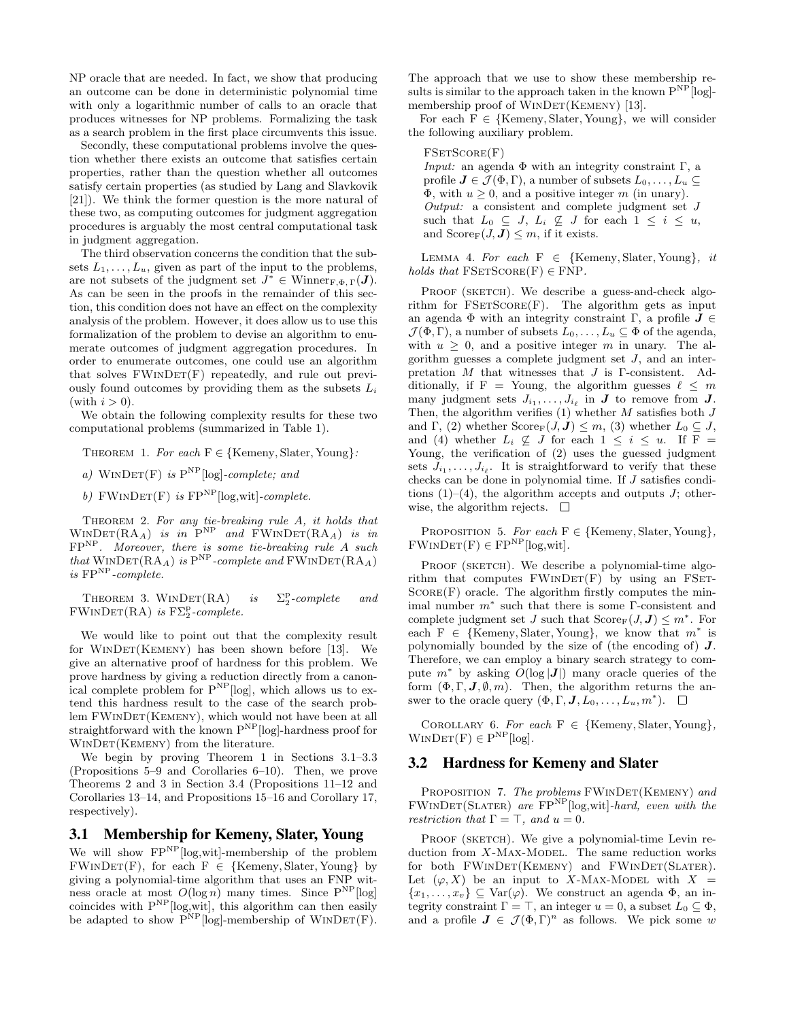NP oracle that are needed. In fact, we show that producing an outcome can be done in deterministic polynomial time with only a logarithmic number of calls to an oracle that produces witnesses for NP problems. Formalizing the task as a search problem in the first place circumvents this issue.

Secondly, these computational problems involve the question whether there exists an outcome that satisfies certain properties, rather than the question whether all outcomes satisfy certain properties (as studied by Lang and Slavkovik [21]). We think the former question is the more natural of these two, as computing outcomes for judgment aggregation procedures is arguably the most central computational task in judgment aggregation.

The third observation concerns the condition that the subsets  $L_1, \ldots, L_u$ , given as part of the input to the problems, are not subsets of the judgment set  $J^* \in$  Winner $_{F,\Phi,\Gamma}(J)$ . As can be seen in the proofs in the remainder of this section, this condition does not have an effect on the complexity analysis of the problem. However, it does allow us to use this formalization of the problem to devise an algorithm to enumerate outcomes of judgment aggregation procedures. In order to enumerate outcomes, one could use an algorithm that solves  $FWINDER(F)$  repeatedly, and rule out previously found outcomes by providing them as the subsets  $L_i$ (with  $i > 0$ ).

We obtain the following complexity results for these two computational problems (summarized in Table 1).

THEOREM 1. For each  $F \in \{Kemeny, Slater, Young\}$ :

a) WINDET(F) is  $P^{NP}$ [log]-complete; and

b) FWINDET(F) is  $FP^{NP}$ [log,wit]-complete.

THEOREM 2. For any tie-breaking rule A, it holds that  $\text{WINDET}(\text{RA}_A)$  is in  $P^{\text{NP}}$  and  $\text{FWINDET}(\text{RA}_A)$  is in FPNP. Moreover, there is some tie-breaking rule A such that  $\text{WINDET}(\text{RA}_A)$  is  $\text{P}^{\text{NP}}$ -complete and  $\text{FWINDET}(\text{RA}_A)$ is  $FP<sup>NP</sup>$ -complete.

THEOREM 3. WINDET(RA) is <sup>p</sup><sub>2</sub>-complete and  $FWINDET(RA)$  is  $F\Sigma_2^p$ -complete.

We would like to point out that the complexity result for WINDET(KEMENY) has been shown before [13]. We give an alternative proof of hardness for this problem. We prove hardness by giving a reduction directly from a canonical complete problem for  $P^{NP}$ [log], which allows us to extend this hardness result to the case of the search problem FWINDET(KEMENY), which would not have been at all straightforward with the known  $P^{NP}$ [log]-hardness proof for WINDET(KEMENY) from the literature.

We begin by proving Theorem 1 in Sections 3.1–3.3 (Propositions 5–9 and Corollaries 6–10). Then, we prove Theorems 2 and 3 in Section 3.4 (Propositions 11–12 and Corollaries 13–14, and Propositions 15–16 and Corollary 17, respectively).

# 3.1 Membership for Kemeny, Slater, Young

We will show  $FP^{NP}$ [log,wit]-membership of the problem  $FWINDET(F)$ , for each  $F \in \{Kemeny, Slater, Young\}$  by giving a polynomial-time algorithm that uses an FNP witness oracle at most  $O(\log n)$  many times. Since  $P^{NP}[\log]$ coincides with  $P^{NP}$ [log,wit], this algorithm can then easily be adapted to show  $\overline{P}^{NP}$ [log]-membership of WINDET(F).

The approach that we use to show these membership results is similar to the approach taken in the known  $P^{NP}$ [log]membership proof of WINDET(KEMENY) [13].

For each  $F \in \{Kemeny, Slater, Young\}$ , we will consider the following auxiliary problem.

#### FSETSCORE(F)

Input: an agenda Φ with an integrity constraint Γ, a profile  $J \in \mathcal{J}(\Phi, \Gamma)$ , a number of subsets  $L_0, \ldots, L_u \subset$  $\Phi$ , with  $u > 0$ , and a positive integer m (in unary). Output: a consistent and complete judgment set J such that  $L_0 \subseteq J$ ,  $L_i \nsubseteq J$  for each  $1 \leq i \leq u$ , and  $\text{Score}_{\mathbf{F}}(J, \mathbf{J}) \leq m$ , if it exists.

LEMMA 4. For each  $F \in \{K$ emeny, Slater, Young}, it holds that  $FSETScore(F) \in FNP$ .

PROOF (SKETCH). We describe a guess-and-check algorithm for  $FSETScore(F)$ . The algorithm gets as input an agenda  $\Phi$  with an integrity constraint Γ, a profile  $J \in$  $\mathcal{J}(\Phi,\Gamma)$ , a number of subsets  $L_0,\ldots,L_u \subseteq \Phi$  of the agenda, with  $u \geq 0$ , and a positive integer m in unary. The algorithm guesses a complete judgment set  $J$ , and an interpretation  $M$  that witnesses that  $J$  is  $\Gamma$ -consistent. Additionally, if F = Young, the algorithm guesses  $\ell \leq m$ many judgment sets  $J_{i_1}, \ldots, J_{i_\ell}$  in  $J$  to remove from  $J$ . Then, the algorithm verifies  $(1)$  whether M satisfies both J and Γ, (2) whether  $\text{Score}_{\mathbf{F}}(J, \mathbf{J}) \leq m$ , (3) whether  $L_0 \subseteq J$ , and (4) whether  $L_i \not\subseteq J$  for each  $1 \leq i \leq u$ . If F = Young, the verification of (2) uses the guessed judgment sets  $J_{i_1}, \ldots, J_{i_\ell}$ . It is straightforward to verify that these checks can be done in polynomial time. If J satisfies conditions  $(1)$ – $(4)$ , the algorithm accepts and outputs J; otherwise, the algorithm rejects.  $\Box$ 

PROPOSITION 5. For each  $F \in \{Kemeny, Slater, Young\}$ ,  $FWINDET(F) \in FP^{NP}$ [log,wit].

PROOF (SKETCH). We describe a polynomial-time algorithm that computes  $FWINDER(F)$  by using an FSET- $SCORE(F)$  oracle. The algorithm firstly computes the minimal number  $m^*$  such that there is some  $\Gamma$ -consistent and complete judgment set J such that  $\text{Score}_{\mathbf{F}}(J, \mathbf{J}) \leq m^*$ . For each  $F \in \{Kemeny, Slater, Young\}$ , we know that  $m^*$  is polynomially bounded by the size of (the encoding of) J. Therefore, we can employ a binary search strategy to compute  $m^*$  by asking  $O(\log |\mathbf{J}|)$  many oracle queries of the form  $(\Phi, \Gamma, J, \emptyset, m)$ . Then, the algorithm returns the answer to the oracle query  $(\Phi, \Gamma, \mathbf{J}, L_0, \ldots, L_u, m^*).$ 

COROLLARY 6. For each  $F \in \{Kemeny, Slater, Young\}$ ,  $WINDET(F) \in P^{NP}[\log].$ 

### 3.2 Hardness for Kemeny and Slater

PROPOSITION 7. The problems FWINDET(KEMENY) and  $FWINDET(SLATER)$  are  $FP<sup>NP</sup>$ [log,wit]-hard, even with the restriction that  $\Gamma = \top$ , and  $u = 0$ .

PROOF (SKETCH). We give a polynomial-time Levin reduction from  $X$ -Max-Model. The same reduction works for both FWINDET(KEMENY) and FWINDET(SLATER). Let  $(\varphi, X)$  be an input to X-MAX-MODEL with  $X =$  $\{x_1, \ldots, x_v\} \subseteq \text{Var}(\varphi)$ . We construct an agenda  $\Phi$ , an integrity constraint  $\Gamma = \top$ , an integer  $u = 0$ , a subset  $L_0 \subseteq \Phi$ , and a profile  $J \in \mathcal{J}(\Phi,\Gamma)^n$  as follows. We pick some w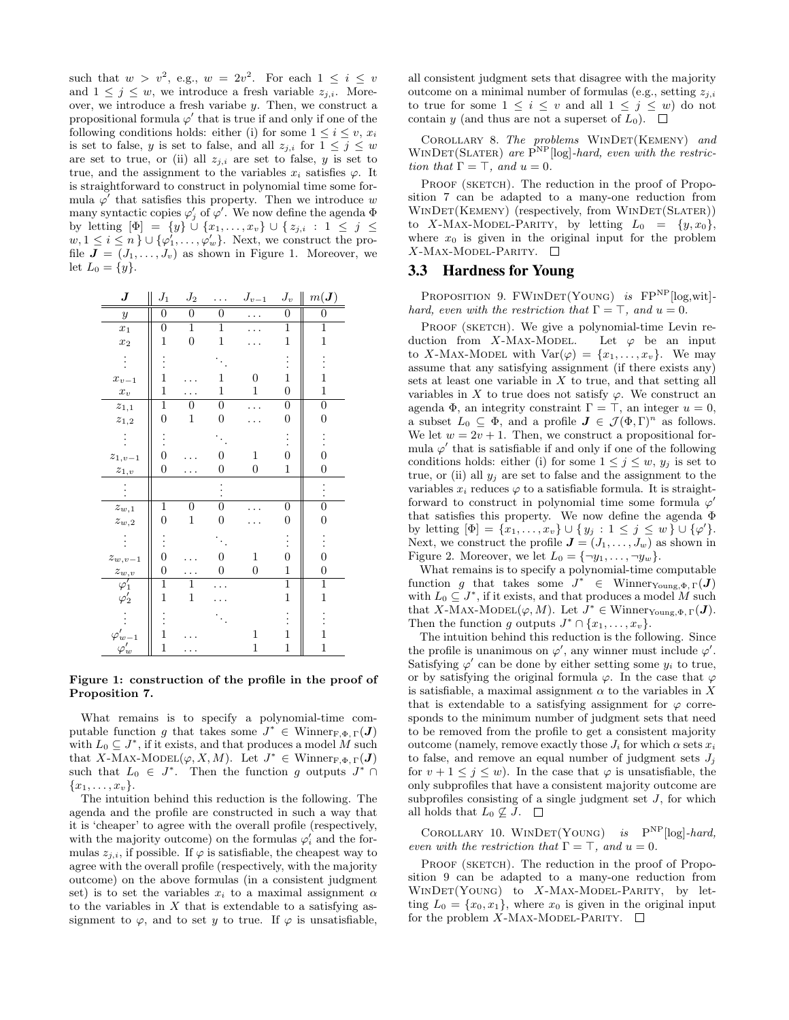such that  $w > v^2$ , e.g.,  $w = 2v^2$ . For each  $1 \leq i \leq v$ and  $1 \leq j \leq w$ , we introduce a fresh variable  $z_{j,i}$ . Moreover, we introduce a fresh variabe y. Then, we construct a propositional formula  $\varphi'$  that is true if and only if one of the following conditions holds: either (i) for some  $1 \leq i \leq v$ ,  $x_i$ is set to false, y is set to false, and all  $z_{j,i}$  for  $1 \leq j \leq w$ are set to true, or (ii) all  $z_{j,i}$  are set to false, y is set to true, and the assignment to the variables  $x_i$  satisfies  $\varphi$ . It is straightforward to construct in polynomial time some formula  $\varphi'$  that satisfies this property. Then we introduce w many syntactic copies  $\varphi'_j$  of  $\varphi'$ . We now define the agenda  $\Phi$ by letting  $[\Phi] = \{y\} \cup \{x_1, \ldots, x_v\} \cup \{z_{j,i} : 1 \leq j \leq j\}$  $w, 1 \leq i \leq n$   $\} \cup \{\varphi'_1, \ldots, \varphi'_w\}$ . Next, we construct the profile  $J = (J_1, \ldots, J_v)$  as shown in Figure 1. Moreover, we let  $L_0 = \{y\}.$ 

| $\boldsymbol{J}$       | $J_1$            | $J_2$            |                  | $J_{v-1}$        | $J_v$            | $m(\bm{J})$      |
|------------------------|------------------|------------------|------------------|------------------|------------------|------------------|
| $\boldsymbol{y}$       | 0                | $\overline{0}$   | $\overline{0}$   |                  | 0                | 0                |
| $x_1$                  | $\overline{0}$   | $\mathbf{1}$     | $\mathbf{1}$     |                  | $\mathbf{1}$     | $\mathbf 1$      |
| $x_2$                  | $\overline{1}$   | $\boldsymbol{0}$ | $\mathbf 1$      |                  | $\mathbf 1$      | $\mathbf{1}$     |
|                        |                  |                  |                  |                  |                  |                  |
| $x_{v-1}$              | $\overline{1}$   |                  | 1                | 0                | $\mathbf{1}$     | $\overline{1}$   |
| $\boldsymbol{x}_v$     | 1                |                  | 1                | 1                | $\overline{0}$   | 1                |
| $z_{1,1}$              | $\mathbf 1$      | 0                | $\boldsymbol{0}$ |                  | $\boldsymbol{0}$ | $\boldsymbol{0}$ |
| $\boldsymbol{z}_{1,2}$ | 0                | $\,1$            | 0                |                  | 0                | $\boldsymbol{0}$ |
|                        | $\vdots$         |                  |                  |                  | $\vdots$         |                  |
| $z_{1,v-1}$            | 0                |                  | 0                | 1                | 0                | 0                |
| $z_{1,v}$              | $\boldsymbol{0}$ |                  | $\boldsymbol{0}$ | $\overline{0}$   | $\mathbf{1}$     | 0                |
|                        |                  |                  |                  |                  |                  |                  |
| $z_{w,1}$              | $\mathbf 1$      | 0                | $\overline{0}$   |                  | $\boldsymbol{0}$ | $\overline{0}$   |
| $z_{w,2}$              | 0                | $\mathbf 1$      | 0                |                  | $\boldsymbol{0}$ | 0                |
|                        | $\vdots$         |                  |                  |                  | $\vdots$         |                  |
| $z_{w,v-1}$            | 0                |                  | 0                | 1                | 0                | $\overline{0}$   |
| $z_{w,v}$              | $\boldsymbol{0}$ |                  | 0                | $\boldsymbol{0}$ | $\mathbf{1}$     | $\overline{0}$   |
| $\varphi_1'$           | $\mathbf{1}$     | $\overline{1}$   |                  |                  | $\mathbf{1}$     | $\mathbf{1}$     |
| $\varphi_2'$           | $\mathbf 1$      | $\mathbf{1}$     |                  |                  | $\mathbf 1$      | $\mathbf{1}$     |
|                        |                  |                  |                  |                  |                  |                  |
| $\varphi_{w-1}$        | $\mathbf 1$      |                  |                  | 1                | $\mathbf{1}$     | 1                |
| $\varphi'_w$           | $\mathbf 1$      |                  |                  | $\mathbf{1}$     | 1                | $\mathbf{1}$     |

### Figure 1: construction of the profile in the proof of Proposition 7.

What remains is to specify a polynomial-time computable function g that takes some  $J^* \in$  Winner  $F, \Phi, \Gamma$   $(J)$ with  $L_0 \subseteq J^*$ , if it exists, and that produces a model M such that X-MAX-MODEL $(\varphi, X, M)$ . Let  $J^* \in$  Winner<sub>F, $\Phi, \Gamma$ </sub> $(J)$ such that  $L_0 \in J^*$ . Then the function g outputs  $J^* \cap$  ${x_1, \ldots, x_v}.$ 

The intuition behind this reduction is the following. The agenda and the profile are constructed in such a way that it is 'cheaper' to agree with the overall profile (respectively, with the majority outcome) on the formulas  $\varphi_i'$  and the formulas  $z_{i,i}$ , if possible. If  $\varphi$  is satisfiable, the cheapest way to agree with the overall profile (respectively, with the majority outcome) on the above formulas (in a consistent judgment set) is to set the variables  $x_i$  to a maximal assignment  $\alpha$ to the variables in  $X$  that is extendable to a satisfying assignment to  $\varphi$ , and to set y to true. If  $\varphi$  is unsatisfiable, all consistent judgment sets that disagree with the majority outcome on a minimal number of formulas (e.g., setting  $z_{j,i}$ ) to true for some  $1 \leq i \leq v$  and all  $1 \leq j \leq w$ ) do not contain y (and thus are not a superset of  $L_0$ ).  $\Box$ 

COROLLARY 8. The problems WINDET(KEMENY) and  $\text{WINDET}(\text{SLATER})$  are  $\overline{\text{P}}^{\text{NP}}[\text{log}]$ -hard, even with the restriction that  $\Gamma = \top$ , and  $u = 0$ .

PROOF (SKETCH). The reduction in the proof of Proposition 7 can be adapted to a many-one reduction from WINDET(KEMENY) (respectively, from WINDET(SLATER)) to X-MAX-MODEL-PARITY, by letting  $L_0 = \{y, x_0\},\$ where  $x_0$  is given in the original input for the problem  $X$ -Max-Model-Parity.  $\square$ 

### 3.3 Hardness for Young

PROPOSITION 9. FWINDET(YOUNG) is FP<sup>NP</sup>[log,wit]hard, even with the restriction that  $\Gamma = \top$ , and  $u = 0$ .

PROOF (SKETCH). We give a polynomial-time Levin reduction from X-MAX-MODEL. Let  $\varphi$  be an input to X-Max-Model with  $Var(\varphi) = \{x_1, \ldots, x_v\}$ . We may assume that any satisfying assignment (if there exists any) sets at least one variable in  $X$  to true, and that setting all variables in X to true does not satisfy  $\varphi$ . We construct an agenda  $\Phi$ , an integrity constraint  $\Gamma = \top$ , an integer  $u = 0$ , a subset  $L_0 \subseteq \Phi$ , and a profile  $J \in \mathcal{J}(\Phi,\Gamma)^n$  as follows. We let  $w = 2v + 1$ . Then, we construct a propositional formula  $\varphi'$  that is satisfiable if and only if one of the following conditions holds: either (i) for some  $1 \leq j \leq w$ ,  $y_j$  is set to true, or (ii) all  $y_i$  are set to false and the assignment to the variables  $x_i$  reduces  $\varphi$  to a satisfiable formula. It is straightforward to construct in polynomial time some formula  $\varphi'$ that satisfies this property. We now define the agenda Φ by letting  $[\Phi] = \{x_1, \ldots, x_v\} \cup \{y_j : 1 \leq j \leq w\} \cup \{\varphi'\}.$ Next, we construct the profile  $J = (J_1, \ldots, J_w)$  as shown in Figure 2. Moreover, we let  $L_0 = \{\neg y_1, \dots, \neg y_w\}.$ 

What remains is to specify a polynomial-time computable function g that takes some  $J^* \in$  Winner  $Y_{\text{cung}, \Phi, \Gamma}(J)$ with  $L_0 \subseteq J^*$ , if it exists, and that produces a model M such that X-MAX-MODEL $(\varphi, M)$ . Let  $J^* \in$  Winner  $_{\text{Young}, \Phi, \Gamma}(J)$ . Then the function g outputs  $J^* \cap \{x_1, \ldots, x_v\}.$ 

The intuition behind this reduction is the following. Since the profile is unanimous on  $\varphi'$ , any winner must include  $\varphi'$ . Satisfying  $\varphi'$  can be done by either setting some  $y_i$  to true, or by satisfying the original formula  $\varphi$ . In the case that  $\varphi$ is satisfiable, a maximal assignment  $\alpha$  to the variables in X that is extendable to a satisfying assignment for  $\varphi$  corresponds to the minimum number of judgment sets that need to be removed from the profile to get a consistent majority outcome (namely, remove exactly those  $J_i$  for which  $\alpha$  sets  $x_i$ ) to false, and remove an equal number of judgment sets  $J_i$ for  $v + 1 \leq j \leq w$ ). In the case that  $\varphi$  is unsatisfiable, the only subprofiles that have a consistent majority outcome are subprofiles consisting of a single judgment set  $J$ , for which all holds that  $L_0 \nsubseteq J$ .  $\square$ 

COROLLARY 10. WINDET(YOUNG) is  $P^{NP}$ [log]-hard, even with the restriction that  $\Gamma = \top$ , and  $u = 0$ .

PROOF (SKETCH). The reduction in the proof of Proposition 9 can be adapted to a many-one reduction from  $WINDET(YOUNG)$  to  $X-MAX-MODEL-PARITY$ , by letting  $L_0 = \{x_0, x_1\}$ , where  $x_0$  is given in the original input for the problem X-MAX-MODEL-PARITY.  $\square$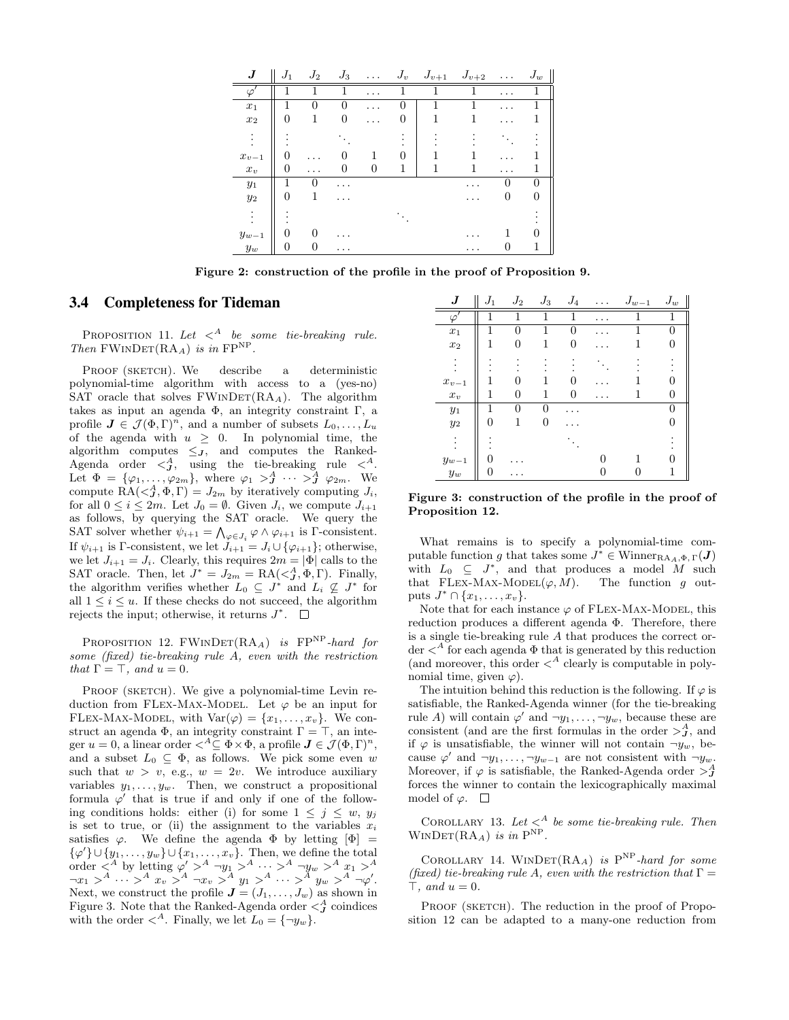| $\bm{J}$  | $J_1$        | $J_2$        | $J_3$            | . | $J_v$    | $J_{v+1}$ | $J_{v+2}$ | $\cdots$     | $J_w$ |
|-----------|--------------|--------------|------------------|---|----------|-----------|-----------|--------------|-------|
| $\varphi$ | 1            | 1            | 1                | . | 1        |           | 1         | .            | 1     |
| $x_1$     | 1            | $\Omega$     | $\left( \right)$ | . | $\theta$ |           |           | .            |       |
| $x_2$     | 0            | 1            |                  |   | O        |           |           |              |       |
|           |              |              |                  |   |          |           |           |              |       |
| $x_{v-1}$ | 0            |              |                  | 1 |          |           |           |              |       |
| $x_v$     | 0            | .            |                  | 0 | 1        |           |           | .            |       |
| $y_1$     | 1            | $\mathbf{0}$ | . .              |   |          |           | .         | $\mathbf{0}$ | 0     |
| $y_2$     | $\theta$     | 1            | .                |   |          |           | .         | 0            |       |
|           |              |              |                  |   |          |           |           |              |       |
| $y_{w-1}$ | $\mathbf{0}$ | 0            |                  |   |          |           |           |              |       |
| $y_{w}$   | 0            | 0            | .                |   |          |           |           |              |       |

Figure 2: construction of the profile in the proof of Proposition 9.

### 3.4 Completeness for Tideman

PROPOSITION 11. Let  $\langle A \rangle$  be some tie-breaking rule. Then  $FWINDER(RA_A)$  is in  $FP^{NP}$ .

PROOF (SKETCH). We describe a deterministic polynomial-time algorithm with access to a (yes-no) SAT oracle that solves  $FWINDER(RA_A)$ . The algorithm takes as input an agenda  $\Phi$ , an integrity constraint  $\Gamma$ , a profile  $J \in \mathcal{J}(\Phi,\Gamma)^n$ , and a number of subsets  $L_0, \ldots, L_u$ of the agenda with  $u \geq 0$ . In polynomial time, the algorithm computes  $\leq_J$ , and computes the Ranked-Agenda order  $\langle \mathcal{A}, \mathcal{A} \rangle$  using the tie-breaking rule  $\langle \mathcal{A}, \mathcal{A} \rangle$ Let  $\Phi = {\varphi_1, \ldots, \varphi_{2m}}$ , where  $\varphi_1 >^A_J \cdots >^A_J \varphi_{2m}$ . We compute  $\operatorname{RA}(<sub>J</sub>, \Phi, \Gamma) = J_{2m}$  by iteratively computing  $J_i$ , for all  $0 \leq i \leq 2m$ . Let  $J_0 = \emptyset$ . Given  $J_i$ , we compute  $J_{i+1}$ as follows, by querying the SAT oracle. We query the SAT solver whether  $\psi_{i+1} = \bigwedge_{\varphi \in J_i} \varphi \wedge \varphi_{i+1}$  is  $\Gamma$ -consistent. If  $\psi_{i+1}$  is Γ-consistent, we let  $J_{i+1} = J_i \cup \{\varphi_{i+1}\}\;$  otherwise, we let  $J_{i+1} = J_i$ . Clearly, this requires  $2m = |\Phi|$  calls to the SAT oracle. Then, let  $J^* = J_{2m} = \text{RA}(\lt^A_J, \Phi, \Gamma)$ . Finally, the algorithm verifies whether  $L_0 \subseteq J^*$  and  $L_i \nsubseteq J^*$  for all  $1 \leq i \leq u$ . If these checks do not succeed, the algorithm rejects the input; otherwise, it returns  $J^*$ .

PROPOSITION 12. FWINDET(RAA) is FP<sup>NP</sup>-hard for some (fixed) tie-breaking rule A, even with the restriction that  $\Gamma = \top$ , and  $u = 0$ .

PROOF (SKETCH). We give a polynomial-time Levin reduction from FLEX-MAX-MODEL. Let  $\varphi$  be an input for FLEX-MAX-MODEL, with  $Var(\varphi) = \{x_1, \ldots, x_v\}$ . We construct an agenda  $\Phi$ , an integrity constraint  $\Gamma = \top$ , an integer  $u = 0$ , a linear order  $\langle A \subseteq \Phi \times \Phi$ , a profile  $J \in \mathcal{J}(\Phi, \Gamma)^n$ , and a subset  $L_0 \subseteq \Phi$ , as follows. We pick some even w such that  $w > v$ , e.g.,  $w = 2v$ . We introduce auxiliary variables  $y_1, \ldots, y_w$ . Then, we construct a propositional formula  $\varphi'$  that is true if and only if one of the following conditions holds: either (i) for some  $1 \leq j \leq w$ ,  $y_j$ is set to true, or (ii) the assignment to the variables  $x_i$ satisfies  $\varphi$ . We define the agenda  $\Phi$  by letting  $[\Phi] =$  $\{\varphi'\}\cup \{y_1,\ldots,y_w\}\cup \{x_1,\ldots,x_v\}$ . Then, we define the total order  $\langle A \rangle^A$  by letting  $\varphi' >^A \neg y_1 >^A \cdots >^A \neg y_w >^A x_1 >^A$  $\neg x_1 >^A \cdots >^A x_v >^A \neg x_v >^A y_1 >^A \cdots >^A y_w >^A \neg \varphi'.$ Next, we construct the profile  $\mathbf{J} = (J_1, \ldots, J_w)$  as shown in Figure 3. Note that the Ranked-Agenda order  $\lt^A_J$  coindices with the order  $\langle A \rangle$ . Finally, we let  $L_0 = {\neg y_w}$ .

| J                  | $J_1$ | $J_2$        | $J_3$ | $J_{4}$  |   | $J_{w-\underline{1}}$ | ${\cal J}_w$ |
|--------------------|-------|--------------|-------|----------|---|-----------------------|--------------|
| $\varphi'$         | 1     | 1            | 1     | 1        |   | 1                     | 1            |
| $\boldsymbol{x}_1$ | 1     | ∩            | 1     | $\theta$ |   |                       |              |
| $x_2$              | 1     |              |       | 0        |   |                       |              |
|                    |       |              |       |          |   |                       |              |
| $x_{v-1}$          |       |              |       |          |   |                       |              |
| $\boldsymbol{x}_v$ | 1     | $\mathbf{0}$ | 1     | $\theta$ |   |                       |              |
| $y_1$              | 1     | 0            | 0     |          |   |                       |              |
| $y_2$              | 0     | 1            | 0     |          |   |                       |              |
|                    |       |              |       |          |   |                       |              |
| $y_{w-1}$          |       |              |       |          |   |                       |              |
| $y_{w}$            | 0     |              |       |          | 0 |                       | 1            |

Figure 3: construction of the profile in the proof of Proposition 12.

What remains is to specify a polynomial-time computable function g that takes some  $J^* \in \text{Winner}_{\text{RA}_A, \Phi, \Gamma}(J)$ with  $L_0 \subseteq J^*$ , and that produces a model M such that FLEX-MAX-MODEL $(\varphi, M)$ . The function g outputs  $J^* \cap \{x_1, \ldots, x_v\}.$ 

Note that for each instance  $\varphi$  of FLEX-MAX-MODEL, this reduction produces a different agenda Φ. Therefore, there is a single tie-breaking rule A that produces the correct order  $\lt^A$  for each agenda  $\Phi$  that is generated by this reduction (and moreover, this order  $\langle A \rangle^A$  clearly is computable in polynomial time, given  $\varphi$ ).

The intuition behind this reduction is the following. If  $\varphi$  is satisfiable, the Ranked-Agenda winner (for the tie-breaking rule A) will contain  $\varphi'$  and  $\neg y_1, \ldots, \neg y_w$ , because these are consistent (and are the first formulas in the order  $\gt^A_J$ , and if  $\varphi$  is unsatisfiable, the winner will not contain  $\neg y_w$ , because  $\varphi'$  and  $\neg y_1, \ldots, \neg y_{w-1}$  are not consistent with  $\neg y_w$ . Moreover, if  $\varphi$  is satisfiable, the Ranked-Agenda order  $>^A_J$ forces the winner to contain the lexicographically maximal model of  $\varphi$ .  $\square$ 

COROLLARY 13. Let  $\langle A \rangle^A$  be some tie-breaking rule. Then WINDET(RA<sub>A</sub>) is in  $P^{NP}$ .

COROLLARY 14. WINDET( $RA_A$ ) is  $P^{NP}$ -hard for some (fixed) tie-breaking rule A, even with the restriction that  $\Gamma =$  $\top$ , and  $u = 0$ .

PROOF (SKETCH). The reduction in the proof of Proposition 12 can be adapted to a many-one reduction from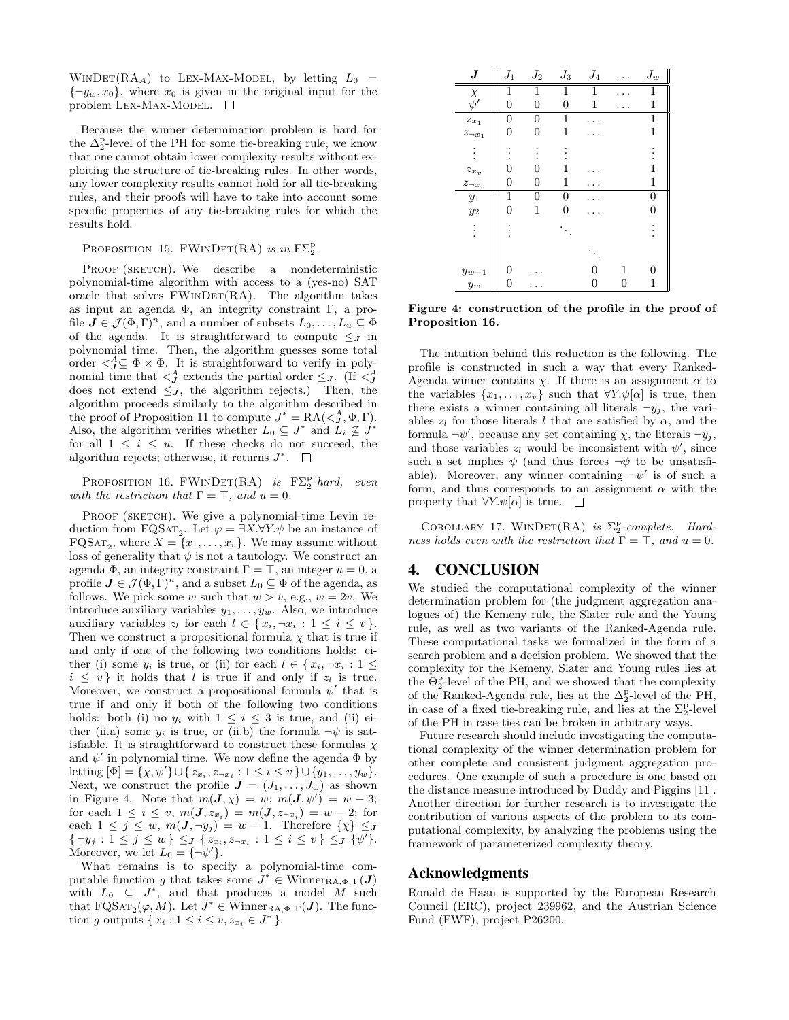WINDET(RA<sub>A</sub>) to LEX-MAX-MODEL, by letting  $L_0$  =  ${\lbrace \neg y_w, x_0 \rbrace}$ , where  $x_0$  is given in the original input for the problem LEX-MAX-MODEL.  $\square$ 

Because the winner determination problem is hard for the  $\Delta_2^{\rm p}$ -level of the PH for some tie-breaking rule, we know that one cannot obtain lower complexity results without exploiting the structure of tie-breaking rules. In other words, any lower complexity results cannot hold for all tie-breaking rules, and their proofs will have to take into account some specific properties of any tie-breaking rules for which the results hold.

# PROPOSITION 15. FWINDET(RA) is in  $F\Sigma_2^p$ .

PROOF (SKETCH). We describe a nondeterministic polynomial-time algorithm with access to a (yes-no) SAT oracle that solves  $FWINDER(RA)$ . The algorithm takes as input an agenda Φ, an integrity constraint Γ, a profile  $J \in \mathcal{J}(\Phi, \Gamma)^n$ , and a number of subsets  $L_0, \ldots, L_u \subseteq \Phi$ of the agenda. It is straightforward to compute  $\leq$  in polynomial time. Then, the algorithm guesses some total order  $\langle \mathcal{L}^A_j \subseteq \Phi \times \Phi$ . It is straightforward to verify in polynomial time that  $\langle \xi \rangle^A$  extends the partial order  $\leq_J$ . (If  $\langle \xi \rangle^A_J$ does not extend  $\leq_J$ , the algorithm rejects.) Then, the algorithm proceeds similarly to the algorithm described in the proof of Proposition 11 to compute  $J^* = \text{RA}(\lt J, \Phi, \Gamma)$ . Also, the algorithm verifies whether  $L_0 \subseteq J^*$  and  $L_i \nsubseteq J^*$ for all  $1 \leq i \leq u$ . If these checks do not succeed, the algorithm rejects; otherwise, it returns  $J^*$ .

PROPOSITION 16.  $FWINDET(RA)$  is  $F\Sigma_2^p$ -hard, even with the restriction that  $\Gamma = \top$ , and  $u = 0$ .

PROOF (SKETCH). We give a polynomial-time Levin reduction from FQSAT<sub>2</sub>. Let  $\varphi = \exists X.\forall Y.\psi$  be an instance of  $F{\mathrm{QSAT}}_2$ , where  $X = \{x_1, \ldots, x_v\}$ . We may assume without loss of generality that  $\psi$  is not a tautology. We construct an agenda  $\Phi$ , an integrity constraint  $\Gamma = \top$ , an integer  $u = 0$ , a profile  $J \in \mathcal{J}(\Phi, \Gamma)^n$ , and a subset  $L_0 \subseteq \Phi$  of the agenda, as follows. We pick some w such that  $w > v$ , e.g.,  $w = 2v$ . We introduce auxiliary variables  $y_1, \ldots, y_w$ . Also, we introduce auxiliary variables  $z_l$  for each  $l \in \{x_i, \neg x_i : 1 \leq i \leq v\}.$ Then we construct a propositional formula  $\chi$  that is true if and only if one of the following two conditions holds: either (i) some  $y_i$  is true, or (ii) for each  $l \in \{x_i, \neg x_i : 1 \leq$  $i \leq v$  it holds that l is true if and only if  $z_l$  is true. Moreover, we construct a propositional formula  $\psi'$  that is true if and only if both of the following two conditions holds: both (i) no  $y_i$  with  $1 \leq i \leq 3$  is true, and (ii) either (ii.a) some  $y_i$  is true, or (ii.b) the formula  $\neg \psi$  is satisfiable. It is straightforward to construct these formulas  $\chi$ and  $\psi'$  in polynomial time. We now define the agenda  $\Phi$  by letting  $[\Phi] = {\chi, \psi'} \cup {\{z_{x_i}, z_{\neg x_i} : 1 \leq i \leq v \} \cup {\{y_1, \ldots, y_w\}}.$ Next, we construct the profile  $J = (J_1, \ldots, J_w)$  as shown in Figure 4. Note that  $m(\mathbf{J}, \chi) = w$ ;  $m(\mathbf{J}, \psi') = w - 3$ ; for each  $1 \leq i \leq v, m(J, z_{x_i}) = m(J, z_{\neg x_i}) = w - 2$ ; for each  $1 \leq j \leq w$ ,  $m(\mathbf{J}, \neg y_j) = w - 1$ . Therefore  $\{\chi\} \leq \mathbf{J}$  $\{\neg y_j : 1 \leq j \leq w\} \leq J$   $\{z_{x_i}, z_{\neg x_i} : 1 \leq i \leq v\} \leq J$   $\{\psi'\}.$ Moreover, we let  $L_0 = {\neg \psi'}$ .

What remains is to specify a polynomial-time computable function g that takes some  $J^* \in \text{Winner}_{\text{RA},\Phi,\Gamma}(J)$ with  $L_0 \subseteq J^*$ , and that produces a model M such that  $\text{FQSAT}_2(\varphi, M)$ . Let  $J^* \in \text{Winner}_{\text{RA}, \Phi, \Gamma}(J)$ . The function g outputs  $\{x_i : 1 \le i \le v, z_{x_i} \in J^*\}.$ 



Figure 4: construction of the profile in the proof of Proposition 16.

The intuition behind this reduction is the following. The profile is constructed in such a way that every Ranked-Agenda winner contains  $\chi$ . If there is an assignment  $\alpha$  to the variables  $\{x_1, \ldots, x_v\}$  such that  $\forall Y \cdot \psi[\alpha]$  is true, then there exists a winner containing all literals  $\neg y_i$ , the variables  $z_l$  for those literals l that are satisfied by  $\alpha$ , and the formula  $\neg \psi'$ , because any set containing  $\chi$ , the literals  $\neg y_j$ , and those variables  $z_l$  would be inconsistent with  $\psi'$ , since such a set implies  $\psi$  (and thus forces  $\neg \psi$  to be unsatisfiable). Moreover, any winner containing  $\neg \psi'$  is of such a form, and thus corresponds to an assignment  $\alpha$  with the property that  $\forall Y \cdot \psi[\alpha]$  is true.  $\square$ 

COROLLARY 17. WINDET(RA) is  $\Sigma_2^p$ -complete. Hardness holds even with the restriction that  $\Gamma = \top$ , and  $u = 0$ .

# 4. CONCLUSION

We studied the computational complexity of the winner determination problem for (the judgment aggregation analogues of) the Kemeny rule, the Slater rule and the Young rule, as well as two variants of the Ranked-Agenda rule. These computational tasks we formalized in the form of a search problem and a decision problem. We showed that the complexity for the Kemeny, Slater and Young rules lies at the  $\Theta_2^{\text{p}}$ -level of the PH, and we showed that the complexity of the Ranked-Agenda rule, lies at the  $\Delta_2^{\rm p}$ -level of the PH, in case of a fixed tie-breaking rule, and lies at the  $\Sigma^\mathrm{p}_2$ -level of the PH in case ties can be broken in arbitrary ways.

Future research should include investigating the computational complexity of the winner determination problem for other complete and consistent judgment aggregation procedures. One example of such a procedure is one based on the distance measure introduced by Duddy and Piggins [11]. Another direction for further research is to investigate the contribution of various aspects of the problem to its computational complexity, by analyzing the problems using the framework of parameterized complexity theory.

#### Acknowledgments

Ronald de Haan is supported by the European Research Council (ERC), project 239962, and the Austrian Science Fund (FWF), project P26200.